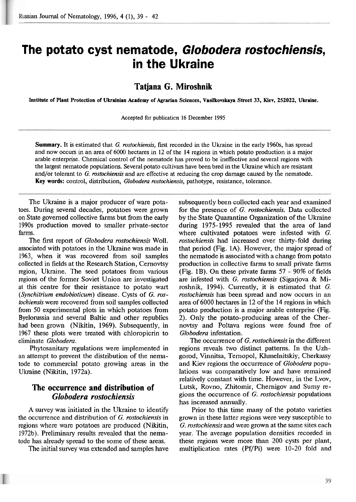# **The potato cyst nematode, Globodera rostochiensis, in the Ukraine**

### **Tatjana G. Mirosbnik**

**Institute of Plant Protection of Ukrainian Academy of Agrarian Sciences, Vasilkovskaya Street 33, Kiev, 252022, Ukraine.** 

Accepted for publicaticn 16 December 1995

**Summary.** It is estimated that G. rostochiensis, first recorded in the Ukraine in the early 1960s, has spread and now occurs in an area of 6000 hectares in 12 of the 14 regions in which potato production is a major arable enterprise. Chemical control of the nematode has proved to be ineffective and several regions with the largest nematode populations. Several potato cultivars have been bred in the Ukraine which are resistant and/or tolerant to *G. rostochiensis* and are effective at reducing the crop damage caused by the nematode. Key words: control, distribution, Globodera rostochiensis, pathotype, resistance, tolerance.

The Ukraine is a major producer of ware potatoes. During several decades, potatoes were grown on State governed collective farms but from the early 1990s production moved to smaller private-sector farms.

The first report of *Globodera rostochiensis* Woll. associated with potatoes in the Ukraine was made in 1963, when it was recovered from soil samples collected in fields at the Research Station, Cernovtsy region, Ukraine. The seed potatoes from various regions of the former Soviet Union are investigated at this centre for their resistance to potato wart (Synchitrium endobioticum) disease. Cysts of *G.* rostochiensis were recovered from soil samples collected from 50 experimental plots in which potatoes from Byelorussia and several Baltic and other republics had been grown (Nikitin, 1969). Subsequently, in 1967 these plots were treated with chloropicrin to eliminate Globodera.

Phytosanitary regulations were implemented in an attempt to prevent the distribution of the nematode to commercial potato growing areas in the Ukraine (Nikitin, 1972a).

#### **The occurrence and distribution of**  *Glo bodera rostochiensis*

A survey was initiated in the Ukraine to identify the occurrence and distribution of G. mstochiensis in regions where ware potatoes are produced (Nikitin, 1972b). Preliminary results revealed that the nematode has already spread to the some of these areas.

The initial survey was extended and samples have

subsequently been collected each year and examined for the presence of G. rostochiensis. Data collected by the State Quarantine Organization of the Ukraine during 1975-1995 revealed that the area of land where cultivated potatoes were infested with G. rostochiensis had increased over thirty-fold during that period **(Fig.** 1A). However, the major spread of the nematode is associated with a change from potato production in collective farms to small private farms (Fig. 1B). On these private farms 57 - 90% of fields are infested with G. rostochiensis (Sigarjova & Miroshnik, 1994). Currently, it is estimated that G. rostochiensis has been spread and now occurs in an area of 6000 hectares in 12 of the 14 regions in which potato production is a major arable enterprise (Fig. 2). Only the potato-producing areas of the Chernovtsy and Poltava regions were found free of Globodera infestation.

The occurrence of G. rostochiensis in the different regions reveals two distinct patterns. In the Uzhgorod, Vinnitsa, Ternopol, Khmelnitskiy, Cherkassy and Kiev regions the occurrence of Globodera populations was comparatively low and have remained relatively constant with time. However, in the Lvov, Lutsk, Rovno, Zhitomir, Chernigov and Sumy regions the occurrence of  $G$ . *rostochiensis* populations has increased annually.

Prior to this time many of the potato varieties grown in these latter regions were very susceptible to G. mstochiensis and were grown at the same sites each year. The average population densities recorded in these regions were more than 200 cysts per plant, multiplication rates (Pf/Pi) were 10-20 fold and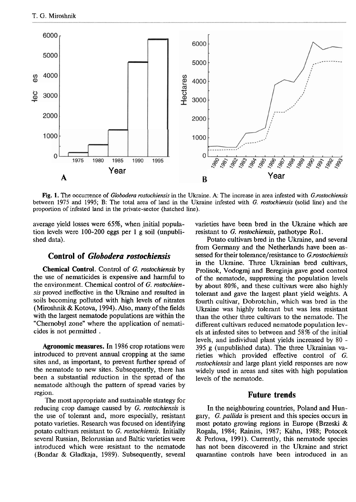

**Fig.** 1. The occurrence of *Globodera rostochiensis* in the Ukraine. A: The increase in area infested with *G.rosfochiensis*  between 1975 and 1995; B: The total area of land in the Ukraine infested with *G. rostochiensis* (solid line) and the proportion of infested land in the private-sector (hatched line).

average yield losses were 65%, when initial population levels were 100-200 eggs per 1 g soil (unpublished data).

#### **Control of** *Globodera rostochiensis*

**Chemical Control.** Control of **G.** rostochiensis by the use of nematicides is expensive and harmful to the environment. Chemical control of G. mstochiensis proved ineffective in the Ukraine and resulted in soils becoming polluted with high levels of nitrates (Miroshnik & Kotova, 1994). Also, many of the fields with the largest nematode populations are within the "Chernobyl zone" where the application of nematicides is not permitted .

**Agronomic measures. In** 1986 crop rotations were introduced to prevent annual cropping at the same sites and, as important, to prevent further spread of the nematode to new sites. Subsequently, there has been a substantial reduction in the spread of the nematode although the pattern of spread varies by region.

The most appropriate and sustainable strategy for reducing crop damage caused by G. rostochiensis is the use of tolerant and, more especially, resistant potato varieties. Research was focused on identifying potato cultivars resistant to G. rostochiensis. Lnitially several Russian, Belorussian and Baltic varieties were introduced which were resistant to the nematode (Bondar & Gladkaja, 1989). Subsequently, several

varieties have been bred in the Ukraine which are resistant to G. rostochiensis, pathotype Rol.

Potato cultivars bred in the Ukraine, and several from Germany and the Netherlands have been assessed for their tolerance/resistance to G.rostochiensis in the Ukraine. Three Ukrainian bred cultivars, Prolisok, Vodograj and Bereginja gave good control of the nematode, suppressing the population levels by about 80%, and these cultivars were also highly tolerant and gave the largest plant yield weghts. A fourth cultivar, Dobrotchin, which was bred in the Ukraine was highly tolerant but was less resistant than the other three cultivars to the nematode. The different cultivars reduced nematode population levels at infested sites to between and 58% of the initial levels, and individual plant yields increased by 80 - 395 g (unpublished data). The three Ukrainian varieties which provided effective control of G. rostochiensis and large plant yield responses are now widely used in areas and sites with high population levels of the nematode.

#### **Future trends**

In the neighbouring countries, Poland and Hungary, G. pallida is present and this species occurs in most potato growing regions in Europe (Brzeski & Rogala, 1984; Rainiss, 1987; **Kiihn,** 1988; Potocek  $&$  Perlova, 1991). Currently, this nematode species has not been discovered in the Ukraine and strict quarantine controls have been introduced in an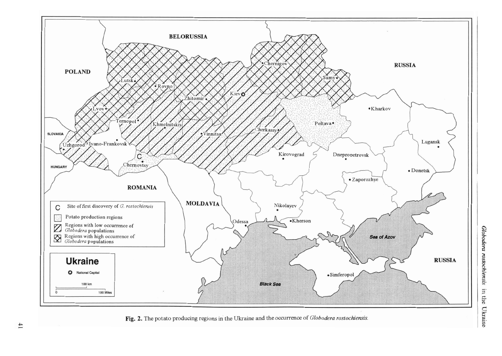

Fig. 2. The potato producing regions in the Ukraine and the occurrence of Globodera rostochiensis.